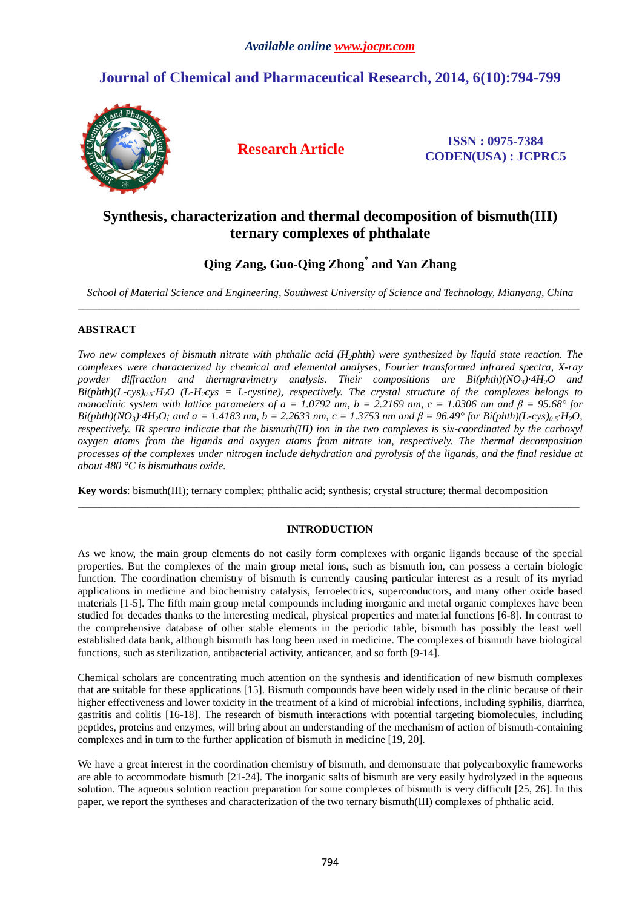# **Journal of Chemical and Pharmaceutical Research, 2014, 6(10):794-799**



**Research Article ISSN : 0975-7384 CODEN(USA) : JCPRC5**

# **Synthesis, characterization and thermal decomposition of bismuth(III) ternary complexes of phthalate**

# **Qing Zang, Guo-Qing Zhong\* and Yan Zhang**

*School of Material Science and Engineering, Southwest University of Science and Technology, Mianyang, China*  \_\_\_\_\_\_\_\_\_\_\_\_\_\_\_\_\_\_\_\_\_\_\_\_\_\_\_\_\_\_\_\_\_\_\_\_\_\_\_\_\_\_\_\_\_\_\_\_\_\_\_\_\_\_\_\_\_\_\_\_\_\_\_\_\_\_\_\_\_\_\_\_\_\_\_\_\_\_\_\_\_\_\_\_\_\_\_\_\_\_\_\_\_

## **ABSTRACT**

*Two new complexes of bismuth nitrate with phthalic acid (H<sub>2</sub><i>phth)* were synthesized by liquid state reaction. The *complexes were characterized by chemical and elemental analyses, Fourier transformed infrared spectra, X-ray powder diffraction and thermgravimetry analysis. Their compositions are Bi(phth)(NO3)·4H2O and*   $B$ i(phth)(L-cys)<sub>0.5</sub>·H<sub>2</sub>O (L-H<sub>2</sub>cys = L-cystine), respectively. The crystal structure of the complexes belongs to *monoclinic system with lattice parameters of a = 1.0792 nm, b = 2.2169 nm, c = 1.0306 nm and*  $\beta$  *= 95.68° for Bi(phth)(NO<sub>3</sub>)·4H<sub>2</sub>O; and a = 1.4183 nm, b = 2.2633 nm, c = 1.3753 nm and*  $\beta$  *= 96.49° for Bi(phth)(L-cys)<sub>0.5</sub>·H<sub>2</sub>O, respectively. IR spectra indicate that the bismuth(III) ion in the two complexes is six-coordinated by the carboxyl oxygen atoms from the ligands and oxygen atoms from nitrate ion, respectively. The thermal decomposition processes of the complexes under nitrogen include dehydration and pyrolysis of the ligands, and the final residue at about 480 °C is bismuthous oxide.* 

**Key words**: bismuth(III); ternary complex; phthalic acid; synthesis; crystal structure; thermal decomposition

## **INTRODUCTION**

\_\_\_\_\_\_\_\_\_\_\_\_\_\_\_\_\_\_\_\_\_\_\_\_\_\_\_\_\_\_\_\_\_\_\_\_\_\_\_\_\_\_\_\_\_\_\_\_\_\_\_\_\_\_\_\_\_\_\_\_\_\_\_\_\_\_\_\_\_\_\_\_\_\_\_\_\_\_\_\_\_\_\_\_\_\_\_\_\_\_\_\_\_

As we know, the main group elements do not easily form complexes with organic ligands because of the special properties. But the complexes of the main group metal ions, such as bismuth ion, can possess a certain biologic function. The coordination chemistry of bismuth is currently causing particular interest as a result of its myriad applications in medicine and biochemistry catalysis, ferroelectrics, superconductors, and many other oxide based materials [1-5]. The fifth main group metal compounds including inorganic and metal organic complexes have been studied for decades thanks to the interesting medical, physical properties and material functions [6-8]. In contrast to the comprehensive database of other stable elements in the periodic table, bismuth has possibly the least well established data bank, although bismuth has long been used in medicine. The complexes of bismuth have biological functions, such as sterilization, antibacterial activity, anticancer, and so forth [9-14].

Chemical scholars are concentrating much attention on the synthesis and identification of new bismuth complexes that are suitable for these applications [15]. Bismuth compounds have been widely used in the clinic because of their higher effectiveness and lower toxicity in the treatment of a kind of microbial infections, including syphilis, diarrhea, gastritis and colitis [16-18]. The research of bismuth interactions with potential targeting biomolecules, including peptides, proteins and enzymes, will bring about an understanding of the mechanism of action of bismuth-containing complexes and in turn to the further application of bismuth in medicine [19, 20].

We have a great interest in the coordination chemistry of bismuth, and demonstrate that polycarboxylic frameworks are able to accommodate bismuth [21-24]. The inorganic salts of bismuth are very easily hydrolyzed in the aqueous solution. The aqueous solution reaction preparation for some complexes of bismuth is very difficult [25, 26]. In this paper, we report the syntheses and characterization of the two ternary bismuth(III) complexes of phthalic acid.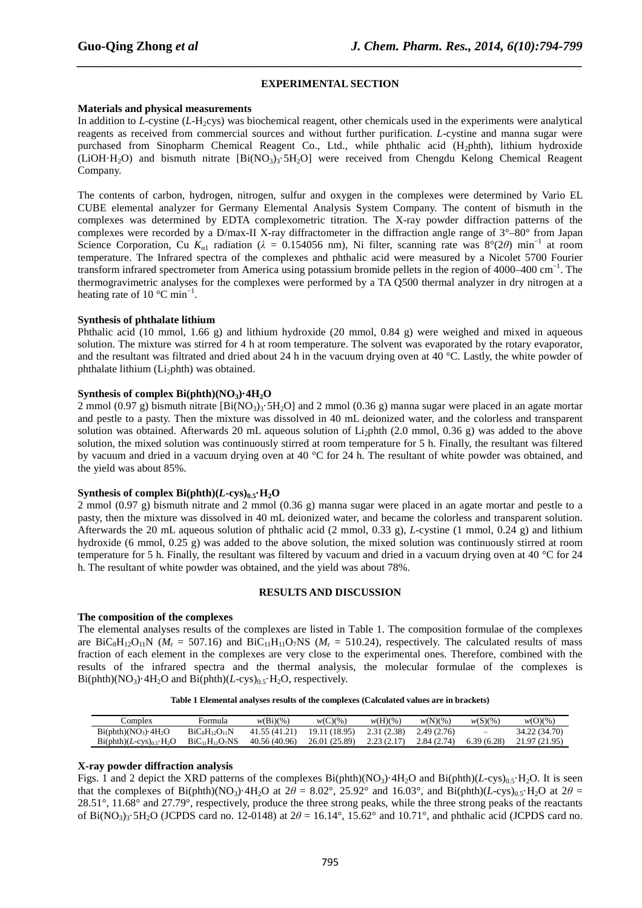### **EXPERIMENTAL SECTION**

*\_\_\_\_\_\_\_\_\_\_\_\_\_\_\_\_\_\_\_\_\_\_\_\_\_\_\_\_\_\_\_\_\_\_\_\_\_\_\_\_\_\_\_\_\_\_\_\_\_\_\_\_\_\_\_\_\_\_\_\_\_\_\_\_\_\_\_\_\_\_\_\_\_\_\_\_\_\_*

#### **Materials and physical measurements**

In addition to *L*-cystine (*L*-H<sub>2</sub>cys) was biochemical reagent, other chemicals used in the experiments were analytical reagents as received from commercial sources and without further purification. *L*-cystine and manna sugar were purchased from Sinopharm Chemical Reagent Co., Ltd., while phthalic acid (H<sub>2</sub>phth), lithium hydroxide (LiOH·H<sub>2</sub>O) and bismuth nitrate [Bi(NO<sub>3</sub>)<sub>3</sub>·5H<sub>2</sub>O] were received from Chengdu Kelong Chemical Reagent Company.

The contents of carbon, hydrogen, nitrogen, sulfur and oxygen in the complexes were determined by Vario EL CUBE elemental analyzer for Germany Elemental Analysis System Company. The content of bismuth in the complexes was determined by EDTA complexometric titration. The X-ray powder diffraction patterns of the complexes were recorded by a D/max-II X-ray diffractometer in the diffraction angle range of  $3^{\circ}$ –80° from Japan Science Corporation, Cu  $K_{\alpha 1}$  radiation ( $\lambda = 0.154056$  nm), Ni filter, scanning rate was  $8^{\circ}(2\theta)$  min<sup>-1</sup> at room temperature. The Infrared spectra of the complexes and phthalic acid were measured by a Nicolet 5700 Fourier transform infrared spectrometer from America using potassium bromide pellets in the region of 4000–400 cm<sup>-1</sup>. The thermogravimetric analyses for the complexes were performed by a TA Q500 thermal analyzer in dry nitrogen at a heating rate of 10  $^{\circ}$ C min<sup>-1</sup>.

#### **Synthesis of phthalate lithium**

Phthalic acid (10 mmol, 1.66 g) and lithium hydroxide (20 mmol, 0.84 g) were weighed and mixed in aqueous solution. The mixture was stirred for 4 h at room temperature. The solvent was evaporated by the rotary evaporator, and the resultant was filtrated and dried about 24 h in the vacuum drying oven at 40 °C. Lastly, the white powder of phthalate lithium  $(L<sub>i</sub>)$ phth) was obtained.

### **Synthesis of complex Bi(phth)(NO3)·4H2O**

2 mmol (0.97 g) bismuth nitrate [Bi(NO<sub>3</sub>)<sub>3</sub>·5H<sub>2</sub>O] and 2 mmol (0.36 g) manna sugar were placed in an agate mortar and pestle to a pasty. Then the mixture was dissolved in 40 mL deionized water, and the colorless and transparent solution was obtained. Afterwards 20 mL aqueous solution of Li<sub>2</sub>phth (2.0 mmol, 0.36 g) was added to the above solution, the mixed solution was continuously stirred at room temperature for 5 h. Finally, the resultant was filtered by vacuum and dried in a vacuum drying oven at 40 °C for 24 h. The resultant of white powder was obtained, and the yield was about 85%.

#### **Synthesis of complex Bi(phth)(** $L$ **<b>-cys)**<sup>0</sup> $\mathbf{s}$ **·H**<sub>2</sub>**O**

2 mmol (0.97 g) bismuth nitrate and 2 mmol (0.36 g) manna sugar were placed in an agate mortar and pestle to a pasty, then the mixture was dissolved in 40 mL deionized water, and became the colorless and transparent solution. Afterwards the 20 mL aqueous solution of phthalic acid (2 mmol, 0.33 g), *L*-cystine (1 mmol, 0.24 g) and lithium hydroxide (6 mmol, 0.25 g) was added to the above solution, the mixed solution was continuously stirred at room temperature for 5 h. Finally, the resultant was filtered by vacuum and dried in a vacuum drying oven at 40 °C for 24 h. The resultant of white powder was obtained, and the yield was about 78%.

#### **RESULTS AND DISCUSSION**

#### **The composition of the complexes**

The elemental analyses results of the complexes are listed in Table 1. The composition formulae of the complexes are  $BiC_8H_{12}O_{11}N$  ( $M_r = 507.16$ ) and  $BiC_{11}H_{11}O_7NS$  ( $M_r = 510.24$ ), respectively. The calculated results of mass fraction of each element in the complexes are very close to the experimental ones. Therefore, combined with the results of the infrared spectra and the thermal analysis, the molecular formulae of the complexes is Bi(phth)( $NO_3$ )·4 $H_2O$  and  $Bi(phi)(L-cvs)_0$ <sub>5</sub>· $H_2O$ , respectively.

| Table 1 Elemental analyses results of the complexes (Calculated values are in brackets) |  |  |
|-----------------------------------------------------------------------------------------|--|--|
|-----------------------------------------------------------------------------------------|--|--|

| ∷omplex                                          | Formula              | $w(Bi)(\%)$   | $w(C)(\%)$    | $w(H)(\%)$  | $w(N)(\%)$  | $w(S)(\%)$               | $w(O)(\%)$    |
|--------------------------------------------------|----------------------|---------------|---------------|-------------|-------------|--------------------------|---------------|
| $Bi(\text{phth})(NO_3) \cdot 4H_2O$              | $BiC_8H_{12}O_{11}N$ | 41.55 (41.21) | 19.11 (18.95) | 2.31 (2.38) | 2.49 (2.76) | $\overline{\phantom{a}}$ | 34.22 (34.70) |
| $Bi(\text{phth})(L\text{-cys})_{0.5} \cdot H_2O$ | $BiC11H11O7NS$       | 40.56 (40.96) | 26.01 (25.89) | 2.23(2.17)  | 2.84 (2.74) | 6.39(6.28)               | 21.97 (21.95) |

### **X-ray powder diffraction analysis**

Figs. 1 and 2 depict the XRD patterns of the complexes Bi(phth)(NO<sub>3</sub>)·4H<sub>2</sub>O and Bi(phth)(*L*-cys)<sub>0.5</sub>·H<sub>2</sub>O. It is seen that the complexes of Bi(phth)(NO<sub>3</sub>)·4H<sub>2</sub>O at  $2\theta = 8.02^{\circ}$ , 25.92° and 16.03°, and Bi(phth)(*L*-cys)<sub>0.5</sub>·H<sub>2</sub>O at  $2\theta =$ 28.51°, 11.68° and 27.79°, respectively, produce the three strong peaks, while the three strong peaks of the reactants of Bi(NO<sub>3</sub>)<sub>3</sub>·5H<sub>2</sub>O (JCPDS card no. 12-0148) at  $2\theta = 16.14^{\circ}$ , 15.62° and 10.71°, and phthalic acid (JCPDS card no.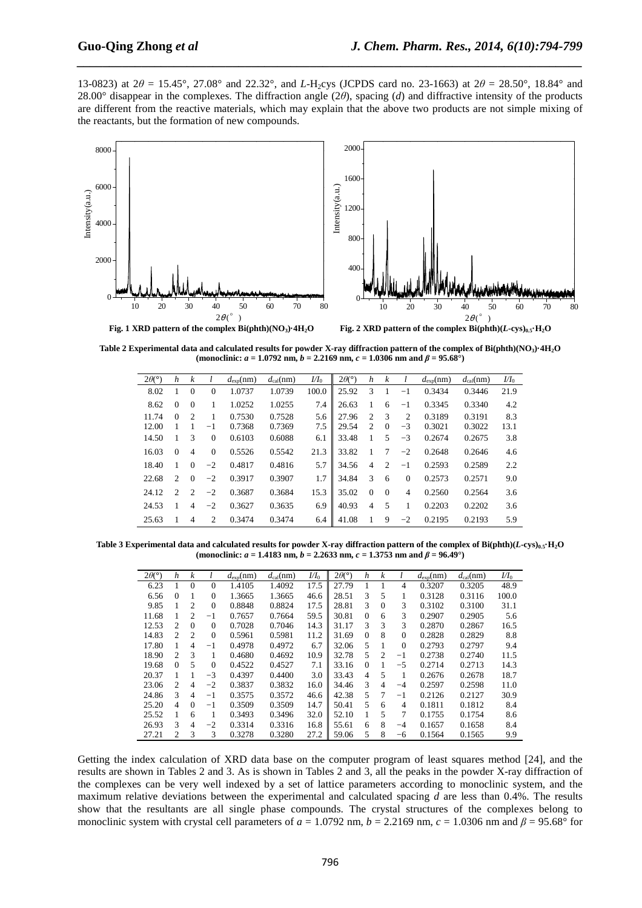13-0823) at  $2\theta = 15.45^{\circ}$ , 27.08° and 22.32°, and *L*-H<sub>2</sub>cys (JCPDS card no. 23-1663) at  $2\theta = 28.50^{\circ}$ , 18.84° and 28.00° disappear in the complexes. The diffraction angle (2*θ*), spacing (*d*) and diffractive intensity of the products are different from the reactive materials, which may explain that the above two products are not simple mixing of the reactants, but the formation of new compounds.

*\_\_\_\_\_\_\_\_\_\_\_\_\_\_\_\_\_\_\_\_\_\_\_\_\_\_\_\_\_\_\_\_\_\_\_\_\_\_\_\_\_\_\_\_\_\_\_\_\_\_\_\_\_\_\_\_\_\_\_\_\_\_\_\_\_\_\_\_\_\_\_\_\_\_\_\_\_\_*



**Table 2 Experimental data and calculated results for powder X-ray diffraction pattern of the complex of Bi(phth)(NO3)·4H2O (monoclinic:** *a* **= 1.0792 nm,** *b* **= 2.2169 nm,** *c* **= 1.0306 nm and** *β* **= 95.68°)** 

| $2\theta$ <sup>(<math>\circ</math></sup> ) | h        | k              |                | $d_{\text{exp}}(nm)$ | $d_{\text{cal}}(nm)$ | $U I_0$ | $2\theta$ <sup>(<math>\circ</math></sup> ) | h              | k        |                | $d_{\exp}(nm)$ | $d_{\text{cal}}(nm)$ | $U I_0$ |
|--------------------------------------------|----------|----------------|----------------|----------------------|----------------------|---------|--------------------------------------------|----------------|----------|----------------|----------------|----------------------|---------|
| 8.02                                       |          | $\mathbf{0}$   | $\mathbf{0}$   | 1.0737               | 1.0739               | 100.0   | 25.92                                      | 3              | 1        | $-1$           | 0.3434         | 0.3446               | 21.9    |
| 8.62                                       | $\Omega$ | $\Omega$       |                | 1.0252               | 1.0255               | 7.4     | 26.63                                      |                | 6        | $^{-1}$        | 0.3345         | 0.3340               | 4.2     |
| 11.74                                      | $\Omega$ | 2              | 1              | 0.7530               | 0.7528               | 5.6     | 27.96                                      | $\overline{c}$ | 3        | $\overline{c}$ | 0.3189         | 0.3191               | 8.3     |
| 12.00                                      |          |                | $-1$           | 0.7368               | 0.7369               | 7.5     | 29.54                                      | 2              | $\Omega$ | $-3$           | 0.3021         | 0.3022               | 13.1    |
| 14.50                                      |          | 3              | $\mathbf{0}$   | 0.6103               | 0.6088               | 6.1     | 33.48                                      |                | 5        | $-3$           | 0.2674         | 0.2675               | 3.8     |
| 16.03                                      | $\Omega$ | 4              | $\Omega$       | 0.5526               | 0.5542               | 21.3    | 33.82                                      |                | 7        | $-2$           | 0.2648         | 0.2646               | 4.6     |
| 18.40                                      | 1        | $\Omega$       | $-2$           | 0.4817               | 0.4816               | 5.7     | 34.56                                      | $\overline{4}$ | 2        | $^{-1}$        | 0.2593         | 0.2589               | 2.2     |
| 22.68                                      | 2        | $\Omega$       | $-2$           | 0.3917               | 0.3907               | 1.7     | 34.84                                      | 3              | 6        | $\Omega$       | 0.2573         | 0.2571               | 9.0     |
| 24.12                                      | 2        | $\overline{c}$ | $-2$           | 0.3687               | 0.3684               | 15.3    | 35.02                                      | $\Omega$       | $\Omega$ | $\overline{4}$ | 0.2560         | 0.2564               | 3.6     |
| 24.53                                      | 1        | 4              | $-2$           | 0.3627               | 0.3635               | 6.9     | 40.93                                      | 4              | 5        | 1              | 0.2203         | 0.2202               | 3.6     |
| 25.63                                      |          | 4              | $\overline{c}$ | 0.3474               | 0.3474               | 6.4     | 41.08                                      |                | 9        | $-2$           | 0.2195         | 0.2193               | 5.9     |

**Table 3 Experimental data and calculated results for powder X-ray diffraction pattern of the complex of Bi(phth)(***L***-cys)0.5·H2O**  (monoclinic:  $a = 1.4183$  nm,  $b = 2.2633$  nm,  $c = 1.3753$  nm and  $\beta = 96.49^{\circ}$ )

| $2\theta$ <sup>o</sup> ) | h              | k        |              | $d_{\text{exp}}(nm)$ | $d_{\text{cal}}(nm)$ | $U I_0$ | $2\theta$ <sup>(<math>\circ</math></sup> ) | h              | k              |              | $d_{\text{exp}}(nm)$ | $d_{\text{cal}}(\text{nm})$ | $U I_0$ |
|--------------------------|----------------|----------|--------------|----------------------|----------------------|---------|--------------------------------------------|----------------|----------------|--------------|----------------------|-----------------------------|---------|
| 6.23                     |                | $\theta$ | $\theta$     | 1.4105               | 1.4092               | 17.5    | 27.79                                      |                |                | 4            | 0.3207               | 0.3205                      | 48.9    |
| 6.56                     | $\Omega$       |          | 0            | 1.3665               | 1.3665               | 46.6    | 28.51                                      | 3              | 5              |              | 0.3128               | 0.3116                      | 100.0   |
| 9.85                     |                | 2        | $\theta$     | 0.8848               | 0.8824               | 17.5    | 28.81                                      | 3              | $\Omega$       | 3            | 0.3102               | 0.3100                      | 31.1    |
| 11.68                    |                | 2        | $^{-1}$      | 0.7657               | 0.7664               | 59.5    | 30.81                                      | $\mathbf{0}$   | 6              | 3            | 0.2907               | 0.2905                      | 5.6     |
| 12.53                    | 2              | $\Omega$ | $\Omega$     | 0.7028               | 0.7046               | 14.3    | 31.17                                      | 3              | 3              | 3            | 0.2870               | 0.2867                      | 16.5    |
| 14.83                    | 2              | 2        | $\mathbf{0}$ | 0.5961               | 0.5981               | 11.2    | 31.69                                      | $\Omega$       | 8              | $\mathbf{0}$ | 0.2828               | 0.2829                      | 8.8     |
| 17.80                    | 1              | 4        | $-1$         | 0.4978               | 0.4972               | 6.7     | 32.06                                      | 5.             | 1              | $\Omega$     | 0.2793               | 0.2797                      | 9.4     |
| 18.90                    | $\mathfrak{D}$ | 3        |              | 0.4680               | 0.4692               | 10.9    | 32.78                                      | 5.             | $\mathfrak{D}$ | $-1$         | 0.2738               | 0.2740                      | 11.5    |
| 19.68                    | $\Omega$       | 5        | $\theta$     | 0.4522               | 0.4527               | 7.1     | 33.16                                      | $\Omega$       |                | $-5$         | 0.2714               | 0.2713                      | 14.3    |
| 20.37                    |                |          | $-3$         | 0.4397               | 0.4400               | 3.0     | 33.43                                      | $\overline{4}$ | 5              |              | 0.2676               | 0.2678                      | 18.7    |
| 23.06                    | 2              | 4        | $-2$         | 0.3837               | 0.3832               | 16.0    | 34.46                                      | 3              | $\overline{4}$ | $-4$         | 0.2597               | 0.2598                      | 11.0    |
| 24.86                    | 3              | 4        | $-1$         | 0.3575               | 0.3572               | 46.6    | 42.38                                      | 5              | 7              | $-1$         | 0.2126               | 0.2127                      | 30.9    |
| 25.20                    | $\overline{4}$ | $\Omega$ | $^{-1}$      | 0.3509               | 0.3509               | 14.7    | 50.41                                      | 5              | 6              | 4            | 0.1811               | 0.1812                      | 8.4     |
| 25.52                    | 1              | 6        | 1            | 0.3493               | 0.3496               | 32.0    | 52.10                                      | 1              | 5              | 7            | 0.1755               | 0.1754                      | 8.6     |
| 26.93                    | 3              | 4        | $-2$         | 0.3314               | 0.3316               | 16.8    | 55.61                                      | 6              | 8              | $-4$         | 0.1657               | 0.1658                      | 8.4     |
| 27.21                    | 2              | 3        | 3            | 0.3278               | 0.3280               | 27.2    | 59.06                                      | 5              | 8              | $-6$         | 0.1564               | 0.1565                      | 9.9     |

Getting the index calculation of XRD data base on the computer program of least squares method [24], and the results are shown in Tables 2 and 3. As is shown in Tables 2 and 3, all the peaks in the powder X-ray diffraction of the complexes can be very well indexed by a set of lattice parameters according to monoclinic system, and the maximum relative deviations between the experimental and calculated spacing *d* are less than 0.4%. The results show that the resultants are all single phase compounds. The crystal structures of the complexes belong to monoclinic system with crystal cell parameters of  $a = 1.0792$  nm,  $b = 2.2169$  nm,  $c = 1.0306$  nm and  $\beta = 95.68^{\circ}$  for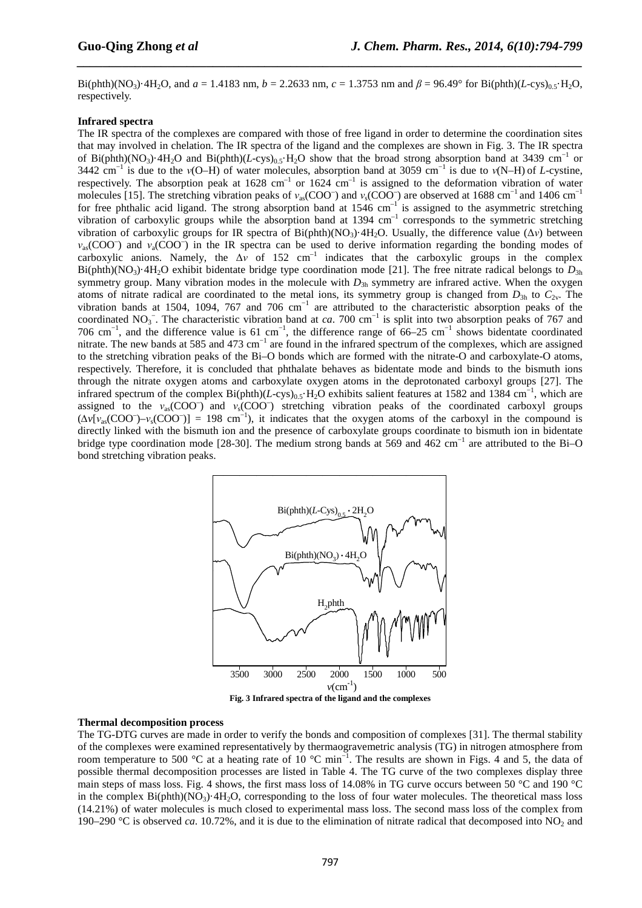Bi(phth)(NO<sub>3</sub>)·4H<sub>2</sub>O, and  $a = 1.4183$  nm,  $b = 2.2633$  nm,  $c = 1.3753$  nm and  $\beta = 96.49^{\circ}$  for Bi(phth)(*L*-cys)<sub>0.5</sub>·H<sub>2</sub>O, respectively.

*\_\_\_\_\_\_\_\_\_\_\_\_\_\_\_\_\_\_\_\_\_\_\_\_\_\_\_\_\_\_\_\_\_\_\_\_\_\_\_\_\_\_\_\_\_\_\_\_\_\_\_\_\_\_\_\_\_\_\_\_\_\_\_\_\_\_\_\_\_\_\_\_\_\_\_\_\_\_*

#### **Infrared spectra**

The IR spectra of the complexes are compared with those of free ligand in order to determine the coordination sites that may involved in chelation. The IR spectra of the ligand and the complexes are shown in Fig. 3. The IR spectra of Bi(phth)(NO<sub>3</sub>)·4H<sub>2</sub>O and Bi(phth)(*L*-cys)<sub>0.5</sub>·H<sub>2</sub>O show that the broad strong absorption band at 3439 cm<sup>-1</sup> or 3442 cm<sup>-1</sup> is due to the *v*(O–H) of water molecules, absorption band at 3059 cm<sup>-1</sup> is due to *v*(N–H) of *L*-cystine, respectively. The absorption peak at  $1628 \text{ cm}^{-1}$  or  $1624 \text{ cm}^{-1}$  is assigned to the deformation vibration of water molecules [15]. The stretching vibration peaks of *ν*<sub>as</sub>(COO<sup>–</sup>) and *ν*<sub>s</sub>(COO<sup>–</sup>) are observed at 1688 cm<sup>-1</sup> and 1406 cm<sup>-1</sup> for free phthalic acid ligand. The strong absorption band at  $1546 \text{ cm}^{-1}$  is assigned to the asymmetric stretching vibration of carboxylic groups while the absorption band at  $1394 \text{ cm}^{-1}$  corresponds to the symmetric stretching vibration of carboxylic groups for IR spectra of Bi(phth)(NO<sub>3</sub>)·4H<sub>2</sub>O. Usually, the difference value (Δ*ν*) between *ν*<sub>as</sub>(COO<sup>-</sup>) and *ν*<sub>a</sub>(COO<sup>-</sup>) in the IR spectra can be used to derive information regarding the bonding modes of carboxylic anions. Namely, the  $\Delta v$  of 152 cm<sup>-1</sup> indicates that the carboxylic groups in the complex Bi(phth)(NO<sub>3</sub>)·4H<sub>2</sub>O exhibit bidentate bridge type coordination mode [21]. The free nitrate radical belongs to  $D_{3h}$ symmetry group. Many vibration modes in the molecule with  $D_{3h}$  symmetry are infrared active. When the oxygen atoms of nitrate radical are coordinated to the metal ions, its symmetry group is changed from  $D_{3h}$  to  $C_{2v}$ . The vibration bands at 1504, 1094, 767 and 706  $cm^{-1}$  are attributed to the characteristic absorption peaks of the coordinated NO<sub>3</sub><sup>-</sup>. The characteristic vibration band at *ca*. 700 cm<sup>-1</sup> is split into two absorption peaks of 767 and 706 cm−1, and the difference value is 61 cm−1, the difference range of 66–25 cm−1 shows bidentate coordinated nitrate. The new bands at 585 and 473 cm<sup>-1</sup> are found in the infrared spectrum of the complexes, which are assigned to the stretching vibration peaks of the Bi–O bonds which are formed with the nitrate-O and carboxylate-O atoms, respectively. Therefore, it is concluded that phthalate behaves as bidentate mode and binds to the bismuth ions through the nitrate oxygen atoms and carboxylate oxygen atoms in the deprotonated carboxyl groups [27]. The infrared spectrum of the complex Bi(phth)(*L*-cys)<sub>0.5</sub>·H<sub>2</sub>O exhibits salient features at 1582 and 1384 cm<sup>-1</sup>, which are assigned to the  $v_{\text{as}}(\text{COO}^-)$  and  $v_{\text{s}}(\text{COO}^-)$  stretching vibration peaks of the coordinated carboxyl groups  $(\Delta v [v_{as}(COO^-)-v_s(COO^-)] = 198$  cm<sup>-1</sup>), it indicates that the oxygen atoms of the carboxyl in the compound is directly linked with the bismuth ion and the presence of carboxylate groups coordinate to bismuth ion in bidentate bridge type coordination mode [28-30]. The medium strong bands at 569 and 462 cm−1 are attributed to the Bi–O bond stretching vibration peaks.



#### **Thermal decomposition process**

The TG-DTG curves are made in order to verify the bonds and composition of complexes [31]. The thermal stability of the complexes were examined representatively by thermaogravemetric analysis (TG) in nitrogen atmosphere from room temperature to 500 °C at a heating rate of 10 °C min−1. The results are shown in Figs. 4 and 5, the data of possible thermal decomposition processes are listed in Table 4. The TG curve of the two complexes display three main steps of mass loss. Fig. 4 shows, the first mass loss of 14.08% in TG curve occurs between 50 °C and 190 °C in the complex  $Bi(\text{phth})(NO_3) \cdot 4H_2O$ , corresponding to the loss of four water molecules. The theoretical mass loss (14.21%) of water molecules is much closed to experimental mass loss. The second mass loss of the complex from 190–290 °C is observed *ca*. 10.72%, and it is due to the elimination of nitrate radical that decomposed into NO<sub>2</sub> and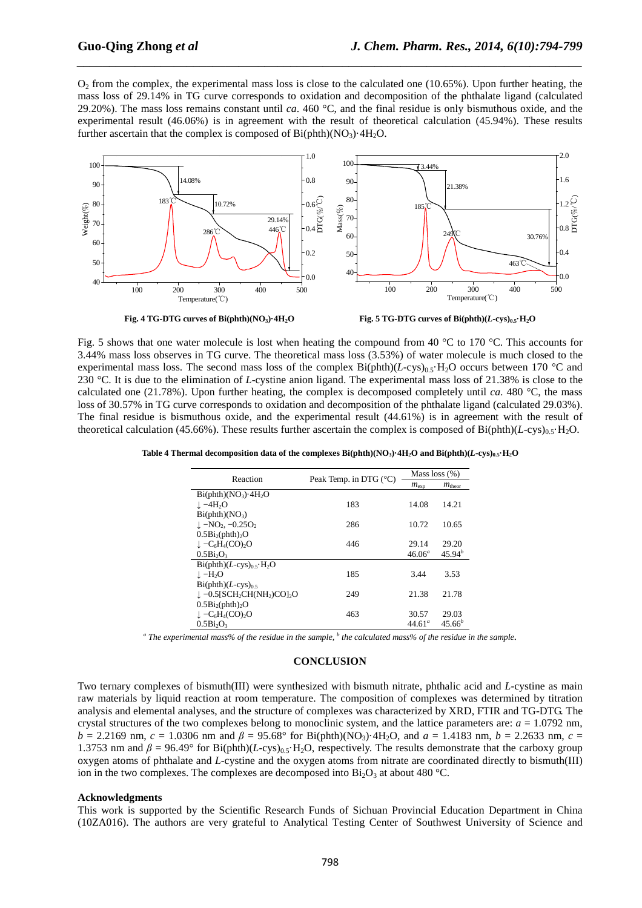$O<sub>2</sub>$  from the complex, the experimental mass loss is close to the calculated one (10.65%). Upon further heating, the mass loss of 29.14% in TG curve corresponds to oxidation and decomposition of the phthalate ligand (calculated 29.20%). The mass loss remains constant until *ca*. 460 °C, and the final residue is only bismuthous oxide, and the experimental result (46.06%) is in agreement with the result of theoretical calculation (45.94%). These results further ascertain that the complex is composed of  $Bi(\text{phth})(NQ_3) \cdot 4H_2O$ .

*\_\_\_\_\_\_\_\_\_\_\_\_\_\_\_\_\_\_\_\_\_\_\_\_\_\_\_\_\_\_\_\_\_\_\_\_\_\_\_\_\_\_\_\_\_\_\_\_\_\_\_\_\_\_\_\_\_\_\_\_\_\_\_\_\_\_\_\_\_\_\_\_\_\_\_\_\_\_*





Fig. 5 shows that one water molecule is lost when heating the compound from 40 °C to 170 °C. This accounts for 3.44% mass loss observes in TG curve. The theoretical mass loss (3.53%) of water molecule is much closed to the experimental mass loss. The second mass loss of the complex  $Bi(pthh)(L-cys)_{0.5}H_2O$  occurs between 170 °C and 230 °C. It is due to the elimination of *L*-cystine anion ligand. The experimental mass loss of 21.38% is close to the calculated one (21.78%). Upon further heating, the complex is decomposed completely until *ca*. 480 °C, the mass loss of 30.57% in TG curve corresponds to oxidation and decomposition of the phthalate ligand (calculated 29.03%). The final residue is bismuthous oxide, and the experimental result (44.61%) is in agreement with the result of theoretical calculation (45.66%). These results further ascertain the complex is composed of  $Bi(pth)(L-cys)_{0.5}H_2O$ .

| Reaction                                                                  | Peak Temp. in DTG $(^{\circ}C)$ | Mass loss $(\%)$   |                    |  |
|---------------------------------------------------------------------------|---------------------------------|--------------------|--------------------|--|
|                                                                           |                                 | $m_{\exp}$         | $m_{\text{theor}}$ |  |
| $Bi(\text{phth})(NO_3) \cdot 4H_2O$                                       |                                 |                    |                    |  |
| $\perp -4H2O$                                                             | 183                             | 14.08              | 14.21              |  |
| $Bi(\text{phth})(NO_3)$                                                   |                                 |                    |                    |  |
| $\perp$ –NO <sub>2</sub> , –0.25O <sub>2</sub>                            | 286                             | 10.72              | 10.65              |  |
| $0.5Bi_2(\text{phth})_2O$                                                 |                                 |                    |                    |  |
| $\downarrow$ –C <sub>6</sub> H <sub>4</sub> (CO) <sub>2</sub> O           | 446                             | 29.14              | 29.20              |  |
| 0.5Bi <sub>2</sub> O <sub>3</sub>                                         |                                 | $46.06^{a}$        | $45.94^{b}$        |  |
| $Bi(\text{phth})(L-\text{cys})_0 + H_2O$                                  |                                 |                    |                    |  |
| $\perp -H2O$                                                              | 185                             | 3.44               | 3.53               |  |
| $Bi(\text{phth})(L-cys)_{0.5}$                                            |                                 |                    |                    |  |
| $\downarrow$ -0.5[SCH <sub>2</sub> CH(NH <sub>2</sub> )CO] <sub>2</sub> O | 249                             | 21.38              | 21.78              |  |
| $0.5Bi_2(\text{phth})_2O$                                                 |                                 |                    |                    |  |
| $\downarrow$ -C <sub>6</sub> H <sub>4</sub> (CO) <sub>2</sub> O           | 463                             | 30.57              | 29.03              |  |
| 0.5Bi <sub>2</sub> O <sub>3</sub>                                         |                                 | 44.61 <sup>a</sup> | $45.66^{b}$        |  |

<sup>*a*</sup> The experimental mass% of the residue in the sample, <sup>*b*</sup> the calculated mass% of the residue in the sample.

#### **CONCLUSION**

Two ternary complexes of bismuth(III) were synthesized with bismuth nitrate, phthalic acid and *L*-cystine as main raw materials by liquid reaction at room temperature. The composition of complexes was determined by titration analysis and elemental analyses, and the structure of complexes was characterized by XRD, FTIR and TG-DTG. The crystal structures of the two complexes belong to monoclinic system, and the lattice parameters are:  $a = 1.0792$  nm,  $b = 2.2169$  nm,  $c = 1.0306$  nm and  $\beta = 95.68^{\circ}$  for Bi(phth)(NO<sub>3</sub>)·4H<sub>2</sub>O, and  $a = 1.4183$  nm,  $b = 2.2633$  nm,  $c =$ 1.3753 nm and  $\beta$  = 96.49° for Bi(phth)(*L*-cys)<sub>0.5</sub>·H<sub>2</sub>O, respectively. The results demonstrate that the carboxy group oxygen atoms of phthalate and *L*-cystine and the oxygen atoms from nitrate are coordinated directly to bismuth(III) ion in the two complexes. The complexes are decomposed into  $Bi<sub>2</sub>O<sub>3</sub>$  at about 480 °C.

#### **Acknowledgments**

This work is supported by the Scientific Research Funds of Sichuan Provincial Education Department in China (10ZA016). The authors are very grateful to Analytical Testing Center of Southwest University of Science and